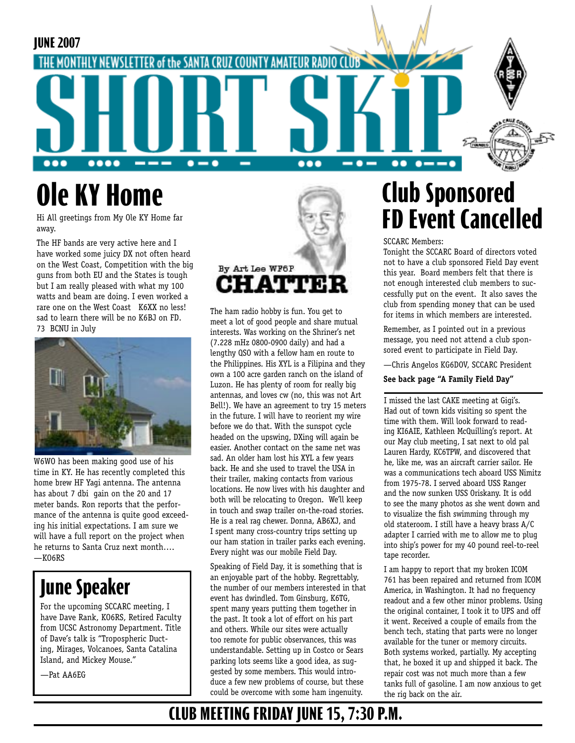

# **Ole KY Home**

Hi All greetings from My Ole KY Home far away.

The HF bands are very active here and I have worked some juicy DX not often heard on the West Coast, Competition with the big guns from both EU and the States is tough but I am really pleased with what my 100 watts and beam are doing. I even worked a rare one on the West Coast K6XX no less! sad to learn there will be no K6BJ on FD. 73 BCNU in July



W6WO has been making good use of his time in KY. He has recently completed this home brew HF Yagi antenna. The antenna has about 7 dbi gain on the 20 and 17 meter bands. Ron reports that the performance of the antenna is quite good exceeding his initial expectations. I am sure we will have a full report on the project when he returns to Santa Cruz next month….  $-KO6RS$ 

## **June Speaker**

For the upcoming SCCARC meeting, I have Dave Rank, KO6RS, Retired Faculty from UCSC Astronomy Department. Title of Dave's talk is "Tropospheric Ducting, Mirages, Volcanoes, Santa Catalina Island, and Mickey Mouse."

—Pat AA6EG



The ham radio hobby is fun. You get to meet a lot of good people and share mutual interests. Was working on the Shriner's net (7.228 mHz 0800-0900 daily) and had a lengthy QSO with a fellow ham en route to the Philippines. His XYL is a Filipina and they own a 100 acre garden ranch on the island of Luzon. He has plenty of room for really big antennas, and loves cw (no, this was not Art Bell!). We have an agreement to try 15 meters in the future. I will have to reorient my wire before we do that. With the sunspot cycle headed on the upswing, DXing will again be easier. Another contact on the same net was sad. An older ham lost his XYL a few years back. He and she used to travel the USA in their trailer, making contacts from various locations. He now lives with his daughter and both will be relocating to Oregon. We'll keep in touch and swap trailer on-the-road stories. He is a real rag chewer. Donna, AB6XJ, and I spent many cross-country trips setting up our ham station in trailer parks each evening. Every night was our mobile Field Day.

Speaking of Field Day, it is something that is an enjoyable part of the hobby. Regrettably, the number of our members interested in that event has dwindled. Tom Ginsburg, K6TG, spent many years putting them together in the past. It took a lot of effort on his part and others. While our sites were actually too remote for public observances, this was understandable. Setting up in Costco or Sears parking lots seems like a good idea, as suggested by some members. This would introduce a few new problems of course, but these could be overcome with some ham ingenuity.

## **Club Sponsored FD Event Cancelled**

#### SCCARC Members:

Tonight the SCCARC Board of directors voted not to have a club sponsored Field Day event this year. Board members felt that there is not enough interested club members to successfully put on the event. It also saves the club from spending money that can be used for items in which members are interested.

Remember, as I pointed out in a previous message, you need not attend a club sponsored event to participate in Field Day.

—Chris Angelos KG6DOV, SCCARC President

#### **See back page "A Family Field Day"**

I missed the last CAKE meeting at Gigi's. Had out of town kids visiting so spent the time with them. Will look forward to reading KI6AIE, Kathleen McQuilling's report. At our May club meeting, I sat next to old pal Lauren Hardy, KC6TPW, and discovered that he, like me, was an aircraft carrier sailor. He was a communications tech aboard USS Nimitz from 1975-78. I served aboard USS Ranger and the now sunken USS Oriskany. It is odd to see the many photos as she went down and to visualize the fish swimming through my old stateroom. I still have a heavy brass A/C adapter I carried with me to allow me to plug into ship's power for my 40 pound reel-to-reel tape recorder.

I am happy to report that my broken ICOM 761 has been repaired and returned from ICOM America, in Washington. It had no frequency readout and a few other minor problems. Using the original container, I took it to UPS and off it went. Received a couple of emails from the bench tech, stating that parts were no longer available for the tuner or memory circuits. Both systems worked, partially. My accepting that, he boxed it up and shipped it back. The repair cost was not much more than a few tanks full of gasoline. I am now anxious to get the rig back on the air.

## **CLUB MEETING FRIDAY JUNE 15, 7:30 P.M.**